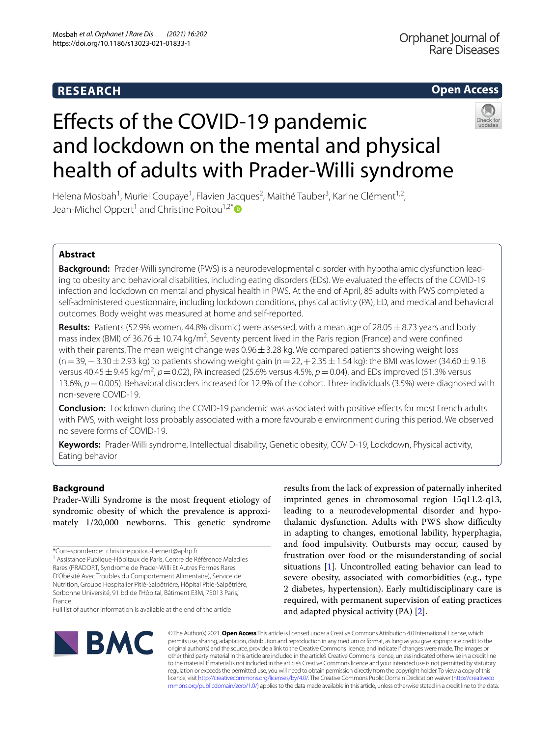# **RESEARCH**

# **Open Access**



# Efects of the COVID-19 pandemic and lockdown on the mental and physical health of adults with Prader-Willi syndrome

Helena Mosbah<sup>1</sup>, Muriel Coupaye<sup>1</sup>, Flavien Jacques<sup>2</sup>, Maithé Tauber<sup>3</sup>, Karine Clément<sup>1,2</sup>, Jean-Michel Oppert<sup>1</sup> and Christine Poitou<sup>1,2[\\*](http://orcid.org/0000-0001-7769-6331)</sup>

# **Abstract**

**Background:** Prader-Willi syndrome (PWS) is a neurodevelopmental disorder with hypothalamic dysfunction lead‑ ing to obesity and behavioral disabilities, including eating disorders (EDs). We evaluated the efects of the COVID-19 infection and lockdown on mental and physical health in PWS. At the end of April, 85 adults with PWS completed a self-administered questionnaire, including lockdown conditions, physical activity (PA), ED, and medical and behavioral outcomes. Body weight was measured at home and self-reported.

**Results:** Patients (52.9% women, 44.8% disomic) were assessed, with a mean age of 28.05  $\pm$  8.73 years and body mass index (BMI) of 36.76  $\pm$  10.74 kg/m<sup>2</sup>. Seventy percent lived in the Paris region (France) and were confined with their parents. The mean weight change was  $0.96 \pm 3.28$  kg. We compared patients showing weight loss (n = 39, − 3.30 ± 2.93 kg) to patients showing weight gain (n = 22, + 2.35 ± 1.54 kg): the BMI was lower (34.60 ± 9.18 versus 40.45±9.45 kg/m2 , *p*=0.02), PA increased (25.6% versus 4.5%, *p*=0.04), and EDs improved (51.3% versus 13.6%, *p*=0.005). Behavioral disorders increased for 12.9% of the cohort. Three individuals (3.5%) were diagnosed with non-severe COVID-19.

**Conclusion:** Lockdown during the COVID-19 pandemic was associated with positive effects for most French adults with PWS, with weight loss probably associated with a more favourable environment during this period. We observed no severe forms of COVID-19.

**Keywords:** Prader-Willi syndrome, Intellectual disability, Genetic obesity, COVID-19, Lockdown, Physical activity, Eating behavior

# **Background**

Prader-Willi Syndrome is the most frequent etiology of syndromic obesity of which the prevalence is approximately 1/20,000 newborns. This genetic syndrome

Full list of author information is available at the end of the article

results from the lack of expression of paternally inherited imprinted genes in chromosomal region 15q11.2-q13, leading to a neurodevelopmental disorder and hypothalamic dysfunction. Adults with PWS show difficulty in adapting to changes, emotional lability, hyperphagia, and food impulsivity. Outbursts may occur, caused by frustration over food or the misunderstanding of social situations [\[1](#page-5-0)]*.* Uncontrolled eating behavior can lead to severe obesity, associated with comorbidities (e.g., type 2 diabetes, hypertension). Early multidisciplinary care is required, with permanent supervision of eating practices and adapted physical activity (PA) [\[2](#page-5-1)].



© The Author(s) 2021. **Open Access** This article is licensed under a Creative Commons Attribution 4.0 International License, which permits use, sharing, adaptation, distribution and reproduction in any medium or format, as long as you give appropriate credit to the original author(s) and the source, provide a link to the Creative Commons licence, and indicate if changes were made. The images or other third party material in this article are included in the article's Creative Commons licence, unless indicated otherwise in a credit line to the material. If material is not included in the article's Creative Commons licence and your intended use is not permitted by statutory regulation or exceeds the permitted use, you will need to obtain permission directly from the copyright holder. To view a copy of this licence, visit [http://creativecommons.org/licenses/by/4.0/.](http://creativecommons.org/licenses/by/4.0/) The Creative Commons Public Domain Dedication waiver ([http://creativeco](http://creativecommons.org/publicdomain/zero/1.0/) [mmons.org/publicdomain/zero/1.0/](http://creativecommons.org/publicdomain/zero/1.0/)) applies to the data made available in this article, unless otherwise stated in a credit line to the data.

<sup>\*</sup>Correspondence: christine.poitou-bernert@aphp.fr <sup>1</sup> Assistance Publique-Hôpitaux de Paris, Centre de Référence Maladies Rares (PRADORT, Syndrome de Prader‑Willi Et Autres Formes Rares D'Obésité Avec Troubles du Comportement Alimentaire), Service de Nutrition, Groupe Hospitalier Pitié‑Salpêtrière, Hôpital Pitié-Salpêtrière, Sorbonne Université, 91 bd de l'Hôpital, Bâtiment E3M, 75013 Paris, France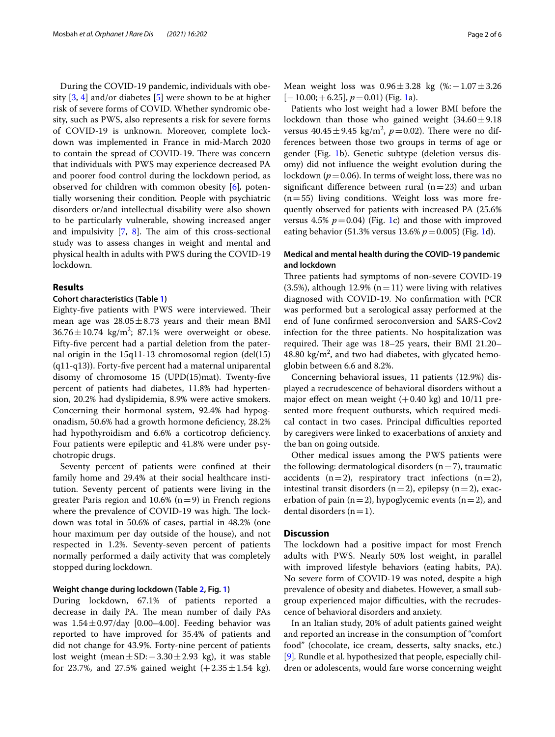During the COVID-19 pandemic, individuals with obesity  $[3, 4]$  $[3, 4]$  $[3, 4]$  $[3, 4]$  and/or diabetes  $[5]$  $[5]$  $[5]$  were shown to be at higher risk of severe forms of COVID. Whether syndromic obesity, such as PWS, also represents a risk for severe forms of COVID-19 is unknown. Moreover, complete lockdown was implemented in France in mid-March 2020 to contain the spread of COVID-19. There was concern that individuals with PWS may experience decreased PA and poorer food control during the lockdown period, as observed for children with common obesity [\[6](#page-5-5)]*,* potentially worsening their condition*.* People with psychiatric disorders or/and intellectual disability were also shown to be particularly vulnerable, showing increased anger and impulsivity  $[7, 8]$  $[7, 8]$  $[7, 8]$  $[7, 8]$ . The aim of this cross-sectional study was to assess changes in weight and mental and physical health in adults with PWS during the COVID-19 lockdown.

## **Results**

#### **Cohort characteristics (Table [1\)](#page-2-0)**

Eighty-five patients with PWS were interviewed. Their mean age was  $28.05 \pm 8.73$  years and their mean BMI  $36.76 \pm 10.74$  kg/m<sup>2</sup>; 87.1% were overweight or obese. Fifty-fve percent had a partial deletion from the paternal origin in the 15q11-13 chromosomal region (del(15) (q11-q13)). Forty-fve percent had a maternal uniparental disomy of chromosome 15 (UPD(15)mat). Twenty-fve percent of patients had diabetes, 11.8% had hypertension, 20.2% had dyslipidemia, 8.9% were active smokers. Concerning their hormonal system, 92.4% had hypogonadism, 50.6% had a growth hormone defciency, 28.2% had hypothyroidism and 6.6% a corticotrop deficiency. Four patients were epileptic and 41.8% were under psychotropic drugs.

Seventy percent of patients were confned at their family home and 29.4% at their social healthcare institution. Seventy percent of patients were living in the greater Paris region and 10.6% ( $n=9$ ) in French regions where the prevalence of COVID-19 was high. The lockdown was total in 50.6% of cases, partial in 48.2% (one hour maximum per day outside of the house), and not respected in 1.2%. Seventy-seven percent of patients normally performed a daily activity that was completely stopped during lockdown.

# **Weight change during lockdown (Table [2](#page-3-0), Fig. [1](#page-4-0))**

During lockdown, 67.1% of patients reported a decrease in daily PA. The mean number of daily PAs was  $1.54 \pm 0.97$ /day [0.00–4.00]. Feeding behavior was reported to have improved for 35.4% of patients and did not change for 43.9%. Forty-nine percent of patients lost weight (mean±SD:−3.30±2.93 kg), it was stable for 23.7%, and 27.5% gained weight  $(+2.35 \pm 1.54 \text{ kg})$ . Mean weight loss was 0.96±3.28 kg (%:−1.07±3.26  $[-10.00; +6.25]$ ,  $p=0.01$ ) (Fig. [1a](#page-4-0)).

Patients who lost weight had a lower BMI before the lockdown than those who gained weight  $(34.60 \pm 9.18)$ versus  $40.45 \pm 9.45$  kg/m<sup>2</sup>,  $p = 0.02$ ). There were no differences between those two groups in terms of age or gender (Fig. [1](#page-4-0)b). Genetic subtype (deletion versus disomy) did not infuence the weight evolution during the lockdown ( $p = 0.06$ ). In terms of weight loss, there was no significant difference between rural  $(n=23)$  and urban  $(n=55)$  living conditions. Weight loss was more frequently observed for patients with increased PA (25.6% versus 4.5%  $p=0.04$ ) (Fig. [1](#page-4-0)c) and those with improved eating behavior (51.3% versus 13.6% *p*=0.005) (Fig. [1](#page-4-0)d).

# **Medical and mental health during the COVID‑19 pandemic and lockdown**

Three patients had symptoms of non-severe COVID-19 (3.5%), although 12.9% ( $n=11$ ) were living with relatives diagnosed with COVID-19. No confrmation with PCR was performed but a serological assay performed at the end of June confrmed seroconversion and SARS-Cov2 infection for the three patients. No hospitalization was required. Their age was 18–25 years, their BMI 21.20–  $48.80 \text{ kg/m}^2$ , and two had diabetes, with glycated hemoglobin between 6.6 and 8.2%.

Concerning behavioral issues, 11 patients (12.9%) displayed a recrudescence of behavioral disorders without a major effect on mean weight  $(+0.40 \text{ kg})$  and 10/11 presented more frequent outbursts, which required medical contact in two cases. Principal difficulties reported by caregivers were linked to exacerbations of anxiety and the ban on going outside.

Other medical issues among the PWS patients were the following: dermatological disorders  $(n=7)$ , traumatic accidents  $(n=2)$ , respiratory tract infections  $(n=2)$ , intestinal transit disorders  $(n=2)$ , epilepsy  $(n=2)$ , exacerbation of pain (n=2), hypoglycemic events (n=2), and dental disorders  $(n=1)$ .

# **Discussion**

The lockdown had a positive impact for most French adults with PWS. Nearly 50% lost weight, in parallel with improved lifestyle behaviors (eating habits, PA). No severe form of COVID-19 was noted, despite a high prevalence of obesity and diabetes. However, a small subgroup experienced major difficulties, with the recrudescence of behavioral disorders and anxiety.

In an Italian study, 20% of adult patients gained weight and reported an increase in the consumption of "comfort food" (chocolate, ice cream, desserts, salty snacks, etc.) [[9\]](#page-5-8)*.* Rundle et al. hypothesized that people, especially children or adolescents, would fare worse concerning weight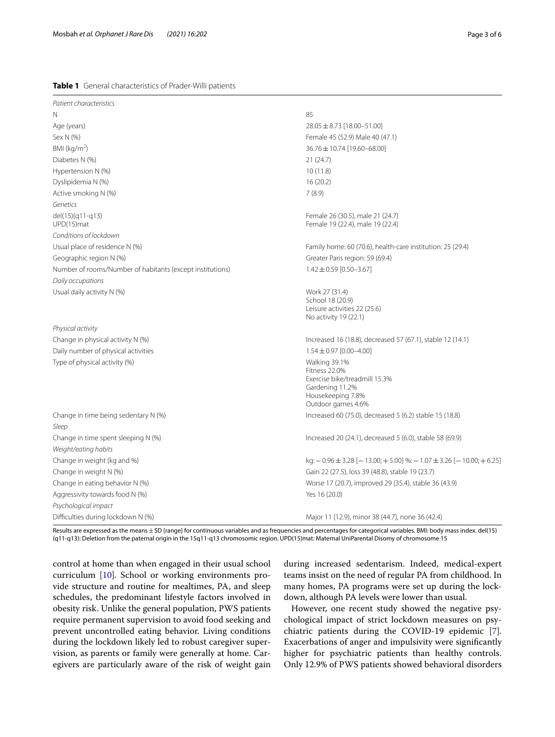## <span id="page-2-0"></span>**Table 1** General characteristics of Prader-Willi patients

| Patient characteristics                                     |                                                                                                                                      |  |  |  |
|-------------------------------------------------------------|--------------------------------------------------------------------------------------------------------------------------------------|--|--|--|
| N                                                           | 85                                                                                                                                   |  |  |  |
| Age (years)                                                 | $28.05 \pm 8.73$ [18.00-51.00]                                                                                                       |  |  |  |
| Sex N (%)                                                   | Female 45 (52.9) Male 40 (47.1)                                                                                                      |  |  |  |
| BMI ( $\text{kg/m}^2$ )                                     | 36.76 ± 10.74 [19.60-68.00]                                                                                                          |  |  |  |
| Diabetes N (%)                                              | 21(24.7)                                                                                                                             |  |  |  |
| Hypertension N (%)                                          | 10(11.8)                                                                                                                             |  |  |  |
| Dyslipidemia N (%)                                          | 16(20.2)                                                                                                                             |  |  |  |
| Active smoking N (%)                                        | 7(8.9)                                                                                                                               |  |  |  |
| Genetics                                                    |                                                                                                                                      |  |  |  |
| del(15)(q11-q13)<br>UPD(15)mat                              | Female 26 (30.5), male 21 (24.7)<br>Female 19 (22.4), male 19 (22.4)                                                                 |  |  |  |
| Conditions of lockdown                                      |                                                                                                                                      |  |  |  |
| Usual place of residence N (%)                              | Family home: 60 (70.6), health-care institution: 25 (29.4)                                                                           |  |  |  |
| Geographic region N (%)                                     | Greater Paris region: 59 (69.4)                                                                                                      |  |  |  |
| Number of rooms/Number of habitants (except institutions)   | $1.42 \pm 0.59$ [0.50-3.67]                                                                                                          |  |  |  |
| Daily occupations                                           |                                                                                                                                      |  |  |  |
| Usual daily activity N (%)                                  | Work 27 (31.4)<br>School 18 (20.9)<br>Leisure activities 22 (25.6)<br>No activity 19 (22.1)                                          |  |  |  |
| Physical activity                                           |                                                                                                                                      |  |  |  |
| Change in physical activity N (%)                           | Increased 16 (18.8), decreased 57 (67.1), stable 12 (14.1)                                                                           |  |  |  |
| Daily number of physical activities                         | $1.54 \pm 0.97$ [0.00-4.00]                                                                                                          |  |  |  |
| Type of physical activity (%)                               | Walking 39.1%<br><b>Fitness 22.0%</b><br>Exercise bike/treadmill 15.3%<br>Gardening 11.2%<br>Housekeeping 7.8%<br>Outdoor games 4.6% |  |  |  |
| Change in time being sedentary N (%)                        | Increased 60 (75.0), decreased 5 (6.2) stable 15 (18.8)                                                                              |  |  |  |
| Sleep                                                       |                                                                                                                                      |  |  |  |
| Change in time spent sleeping N (%)<br>Weight/eating habits | Increased 20 (24.1), decreased 5 (6.0), stable 58 (69.9)                                                                             |  |  |  |
| Change in weight (kg and %)                                 | kg: $-0.96 \pm 3.28$ [ $-13.00$ ; $+5.00$ ] %: $-1.07 \pm 3.26$ [ $-10.00$ ; $+6.25$ ]                                               |  |  |  |
| Change in weight N (%)                                      | Gain 22 (27.5), loss 39 (48.8), stable 19 (23.7)                                                                                     |  |  |  |
| Change in eating behavior N (%)                             | Worse 17 (20.7), improved 29 (35.4), stable 36 (43.9)                                                                                |  |  |  |
| Aggressivity towards food N (%)                             | Yes 16 (20.0)                                                                                                                        |  |  |  |
| Psychological impact                                        |                                                                                                                                      |  |  |  |
| Difficulties during lockdown N (%)                          | Major 11 (12.9), minor 38 (44.7), none 36 (42.4)                                                                                     |  |  |  |

Results are expressed as the means±SD [range] for continuous variables and as frequencies and percentages for categorical variables. BMI: body mass index. del(15) (q11-q13): Deletion from the paternal origin in the 15q11-q13 chromosomic region. UPD(15)mat: Maternal UniParental Disomy of chromosome 15

control at home than when engaged in their usual school curriculum [\[10\]](#page-5-9)*.* School or working environments provide structure and routine for mealtimes, PA, and sleep schedules, the predominant lifestyle factors involved in obesity risk. Unlike the general population, PWS patients require permanent supervision to avoid food seeking and prevent uncontrolled eating behavior. Living conditions during the lockdown likely led to robust caregiver supervision, as parents or family were generally at home. Caregivers are particularly aware of the risk of weight gain during increased sedentarism. Indeed, medical-expert teams insist on the need of regular PA from childhood. In many homes, PA programs were set up during the lockdown, although PA levels were lower than usual.

However, one recent study showed the negative psychological impact of strict lockdown measures on psychiatric patients during the COVID-19 epidemic [\[7](#page-5-6)]*.* Exacerbations of anger and impulsivity were signifcantly higher for psychiatric patients than healthy controls. Only 12.9% of PWS patients showed behavioral disorders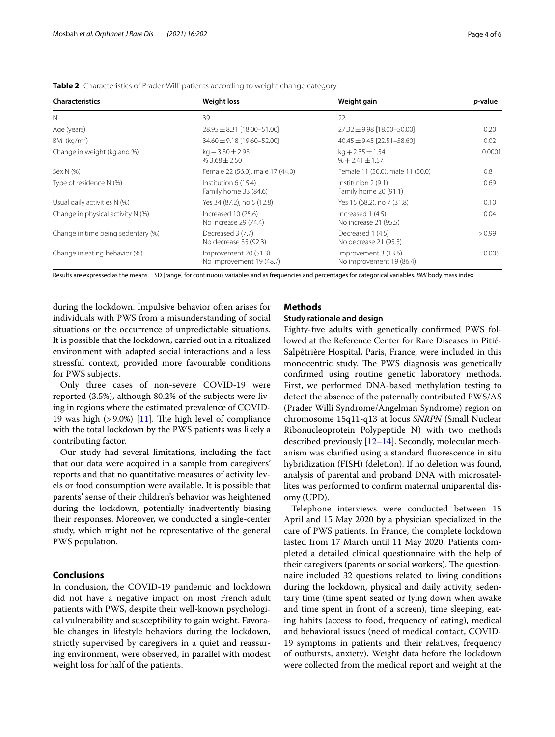| <b>Characteristics</b>             | <b>Weight loss</b>                                                                         | Weight gain                                      | <i>p</i> -value |  |
|------------------------------------|--------------------------------------------------------------------------------------------|--------------------------------------------------|-----------------|--|
| $\mathbb N$                        | 39                                                                                         | 22                                               |                 |  |
| Age (years)                        | $28.95 \pm 8.31$ [18.00-51.00]                                                             | $27.32 \pm 9.98$ [18.00-50.00]                   | 0.20            |  |
| BMI ( $kg/m2$ )                    | 34.60 ± 9.18 [19.60-52.00]                                                                 | $40.45 \pm 9.45$ [22.51-58.60]                   | 0.02            |  |
| Change in weight (kg and %)        | $kq - 3.30 \pm 2.93$<br>$kq + 2.35 \pm 1.54$<br>$%+2.41 \pm 1.57$<br>$%3.68 + 2.50$        |                                                  | 0.0001          |  |
| Sex N (%)                          | Female 22 (56.0), male 17 (44.0)                                                           | Female 11 (50.0), male 11 (50.0)                 | 0.8             |  |
| Type of residence N (%)            | Institution 6 (15.4)<br>Family home 33 (84.6)                                              | Institution 2 (9.1)<br>Family home 20 (91.1)     |                 |  |
| Usual daily activities N (%)       | Yes 34 (87.2), no 5 (12.8)                                                                 | Yes 15 (68.2), no 7 (31.8)                       | 0.10            |  |
| Change in physical activity N (%)  | Increased 10 (25.6)<br>Increased 1 (4.5)<br>No increase 29 (74.4)<br>No increase 21 (95.5) |                                                  | 0.04            |  |
| Change in time being sedentary (%) | Decreased 3 (7.7)<br>No decrease 35 (92.3)                                                 | Decreased 1 (4.5)<br>No decrease 21 (95.5)       | > 0.99          |  |
| Change in eating behavior (%)      | Improvement 20 (51.3)<br>No improvement 19 (48.7)                                          | Improvement 3 (13.6)<br>No improvement 19 (86.4) | 0.005           |  |

<span id="page-3-0"></span>

|  | Table 2 Characteristics of Prader-Willi patients according to weight change category |  |  |  |  |  |  |
|--|--------------------------------------------------------------------------------------|--|--|--|--|--|--|
|--|--------------------------------------------------------------------------------------|--|--|--|--|--|--|

Results are expressed as the means ± SD [range] for continuous variables and as frequencies and percentages for categorical variables. *BMI* body mass index

during the lockdown. Impulsive behavior often arises for individuals with PWS from a misunderstanding of social situations or the occurrence of unpredictable situations*.* It is possible that the lockdown, carried out in a ritualized environment with adapted social interactions and a less stressful context, provided more favourable conditions for PWS subjects.

Only three cases of non-severe COVID-19 were reported (3.5%), although 80.2% of the subjects were living in regions where the estimated prevalence of COVID-19 was high  $(>9.0\%)$  [[11\]](#page-5-10). The high level of compliance with the total lockdown by the PWS patients was likely a contributing factor.

Our study had several limitations, including the fact that our data were acquired in a sample from caregivers' reports and that no quantitative measures of activity levels or food consumption were available. It is possible that parents' sense of their children's behavior was heightened during the lockdown, potentially inadvertently biasing their responses. Moreover, we conducted a single-center study, which might not be representative of the general PWS population.

# **Conclusions**

In conclusion, the COVID-19 pandemic and lockdown did not have a negative impact on most French adult patients with PWS, despite their well-known psychological vulnerability and susceptibility to gain weight. Favorable changes in lifestyle behaviors during the lockdown, strictly supervised by caregivers in a quiet and reassuring environment, were observed, in parallel with modest weight loss for half of the patients.

## **Methods**

## **Study rationale and design**

Eighty-fve adults with genetically confrmed PWS followed at the Reference Center for Rare Diseases in Pitié-Salpêtrière Hospital, Paris, France, were included in this monocentric study. The PWS diagnosis was genetically confrmed using routine genetic laboratory methods. First, we performed DNA-based methylation testing to detect the absence of the paternally contributed PWS/AS (Prader Willi Syndrome/Angelman Syndrome) region on chromosome 15q11-q13 at locus *SNRPN* (Small Nuclear Ribonucleoprotein Polypeptide N) with two methods described previously [\[12](#page-5-11)[–14](#page-5-12)]. Secondly, molecular mechanism was clarifed using a standard fuorescence in situ hybridization (FISH) (deletion). If no deletion was found, analysis of parental and proband DNA with microsatellites was performed to confrm maternal uniparental disomy (UPD).

Telephone interviews were conducted between 15 April and 15 May 2020 by a physician specialized in the care of PWS patients. In France, the complete lockdown lasted from 17 March until 11 May 2020. Patients completed a detailed clinical questionnaire with the help of their caregivers (parents or social workers). The questionnaire included 32 questions related to living conditions during the lockdown, physical and daily activity, sedentary time (time spent seated or lying down when awake and time spent in front of a screen), time sleeping, eating habits (access to food, frequency of eating), medical and behavioral issues (need of medical contact, COVID-19 symptoms in patients and their relatives, frequency of outbursts, anxiety). Weight data before the lockdown were collected from the medical report and weight at the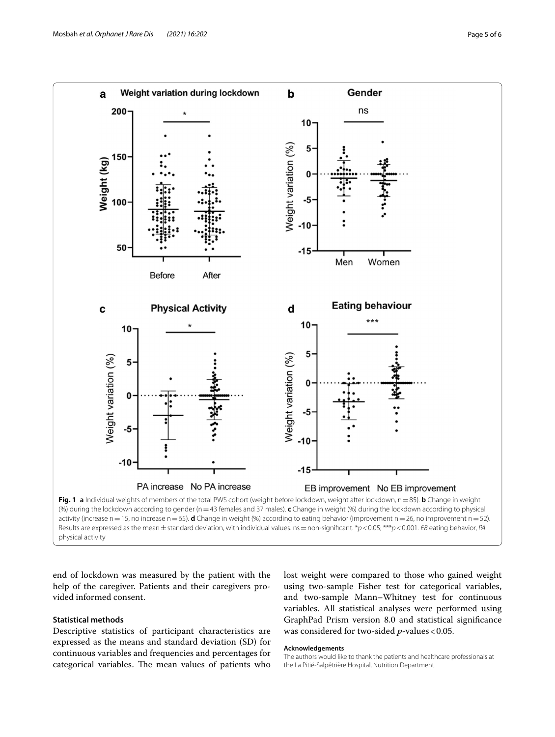

<span id="page-4-0"></span>Results are expressed as the mean±standard deviation, with individual values. ns=non-signifcant. \**p*<0.05; \*\*\**p*<0.001. *EB* eating behavior, *PA* physical activity

end of lockdown was measured by the patient with the help of the caregiver. Patients and their caregivers provided informed consent.

# **Statistical methods**

Descriptive statistics of participant characteristics are expressed as the means and standard deviation (SD) for continuous variables and frequencies and percentages for categorical variables. The mean values of patients who lost weight were compared to those who gained weight using two-sample Fisher test for categorical variables, and two-sample Mann–Whitney test for continuous variables. All statistical analyses were performed using GraphPad Prism version 8.0 and statistical signifcance was considered for two-sided *p*-values < 0.05.

#### **Acknowledgements**

The authors would like to thank the patients and healthcare professionals at the La Pitié-Salpêtrière Hospital, Nutrition Department.